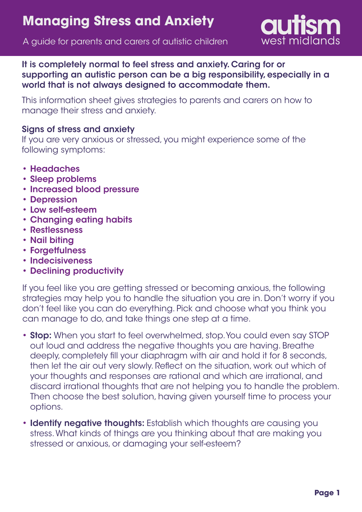

A guide for parents and carers of autistic children

It is completely normal to feel stress and anxiety. Caring for or supporting an autistic person can be a big responsibility, especially in a world that is not always designed to accommodate them.

This information sheet gives strategies to parents and carers on how to manage their stress and anxiety.

## Signs of stress and anxiety

If you are very anxious or stressed, you might experience some of the following symptoms:

- Headaches
- Sleep problems •
- Increased blood pressure
- Depression
- Low self-esteem •
- Changing eating habits •
- Restlessness •
- Nail biting
- Forgetfulness
- Indecisiveness
- Declining productivity

If you feel like you are getting stressed or becoming anxious, the following strategies may help you to handle the situation you are in. Don't worry if you don't feel like you can do everything. Pick and choose what you think you can manage to do, and take things one step at a time.

- Stop: When you start to feel overwhelmed, stop. You could even say STOP out loud and address the negative thoughts you are having. Breathe deeply, completely fill your diaphragm with air and hold it for 8 seconds, then let the air out very slowly. Reflect on the situation, work out which of your thoughts and responses are rational and which are irrational, and discard irrational thoughts that are not helping you to handle the problem. Then choose the best solution, having given yourself time to process your options.
- Identify negative thoughts: Establish which thoughts are causing you stress. What kinds of things are you thinking about that are making you stressed or anxious, or damaging your self-esteem?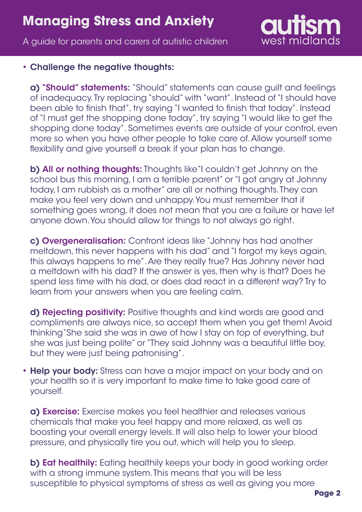## **Managing Stress and Anxiety**

A guide for parents and carers of autistic children



## • Challenge the negative thoughts:

a) "Should" statements: "Should" statements can cause guilt and feelings of inadequacy. Try replacing "should" with "want". Instead of "I should have been able to finish that", try saying "I wanted to finish that today". Instead of "I must get the shopping done today", try saying "I would like to get the shopping done today". Sometimes events are outside of your control, even more so when you have other people to take care of. Allow yourself some flexibility and give yourself a break if your plan has to change.

b) All or nothing thoughts: Thoughts like"I couldn't get Johnny on the school bus this morning, I am a terrible parent" or "I got angry at Johnny today, I am rubbish as a mother" are all or nothing thoughts. They can make you feel very down and unhappy. You must remember that if something goes wrong, it does not mean that you are a failure or have let anyone down. You should allow for things to not always go right.

c) Overgeneralisation: Confront ideas like "Johnny has had another meltdown, this never happens with his dad" and "I forgot my keys again, this always happens to me". Are they really true? Has Johnny never had a meltdown with his dad? If the answer is yes, then why is that? Does he spend less time with his dad, or does dad react in a different way? Try to learn from your answers when you are feeling calm.

d) Rejecting positivity: Positive thoughts and kind words are good and compliments are always nice, so accept them when you get them! Avoid thinking"She said she was in awe of how I stay on top of everything, but she was just being polite" or "They said Johnny was a beautiful little boy, but they were just being patronising".

• Help your body: Stress can have a major impact on your body and on your health so it is very important to make time to take good care of yourself.

a) Exercise: Exercise makes you feel healthier and releases various chemicals that make you feel happy and more relaxed, as well as boosting your overall energy levels. It will also help to lower your blood pressure, and physically tire you out, which will help you to sleep.

b) Eat healthily: Eating healthily keeps your body in good working order with a strong immune system. This means that you will be less susceptible to physical symptoms of stress as well as giving you more